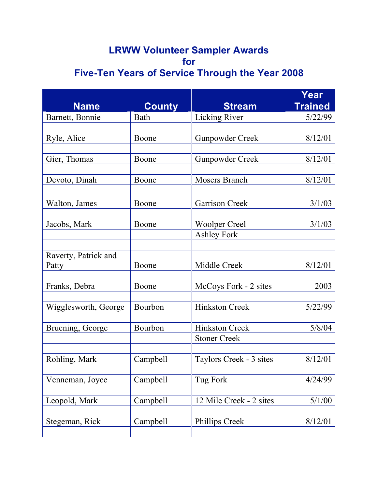## **LRWW Volunteer Sampler Awards for Five-Ten Years of Service Through the Year 2008**

|                      |               |                         | Year           |
|----------------------|---------------|-------------------------|----------------|
| <b>Name</b>          | <b>County</b> | <b>Stream</b>           | <b>Trained</b> |
| Barnett, Bonnie      | Bath          | <b>Licking River</b>    | 5/22/99        |
|                      |               |                         |                |
| Ryle, Alice          | Boone         | <b>Gunpowder Creek</b>  | 8/12/01        |
| Gier, Thomas         | Boone         | <b>Gunpowder Creek</b>  | 8/12/01        |
|                      |               |                         |                |
| Devoto, Dinah        | Boone         | <b>Mosers Branch</b>    | 8/12/01        |
|                      |               |                         |                |
| Walton, James        | Boone         | <b>Garrison Creek</b>   | 3/1/03         |
|                      |               |                         |                |
| Jacobs, Mark         | Boone         | <b>Woolper Creel</b>    | 3/1/03         |
|                      |               | <b>Ashley Fork</b>      |                |
| Raverty, Patrick and |               |                         |                |
| Patty                | Boone         | Middle Creek            | 8/12/01        |
|                      |               |                         |                |
| Franks, Debra        | Boone         | McCoys Fork - 2 sites   | 2003           |
| Wigglesworth, George | Bourbon       | <b>Hinkston Creek</b>   | 5/22/99        |
|                      |               |                         |                |
| Bruening, George     | Bourbon       | <b>Hinkston Creek</b>   | 5/8/04         |
|                      |               | <b>Stoner Creek</b>     |                |
|                      |               |                         |                |
| Rohling, Mark        | Campbell      | Taylors Creek - 3 sites | 8/12/01        |
| Venneman, Joyce      | Campbell      | Tug Fork                | 4/24/99        |
|                      |               |                         |                |
| Leopold, Mark        | Campbell      | 12 Mile Creek - 2 sites | 5/1/00         |
|                      |               |                         |                |
| Stegeman, Rick       | Campbell      | Phillips Creek          | 8/12/01        |
|                      |               |                         |                |